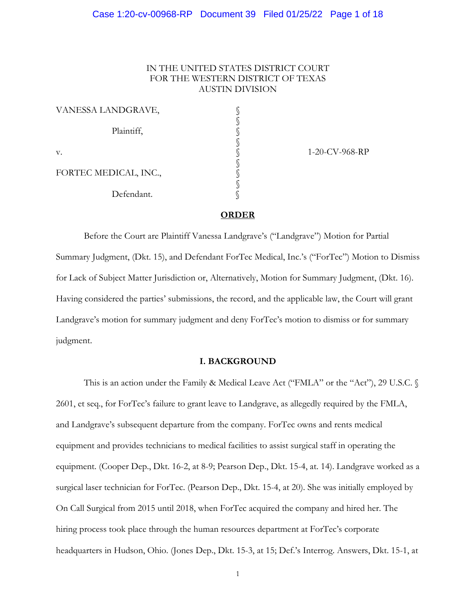# IN THE UNITED STATES DISTRICT COURT FOR THE WESTERN DISTRICT OF TEXAS AUSTIN DIVISION

| VANESSA LANDGRAVE,    |  |
|-----------------------|--|
| Plaintiff,            |  |
| v.                    |  |
| FORTEC MEDICAL, INC., |  |
| Defendant.            |  |

1-20-CV-968-RP

### **ORDER**

Before the Court are Plaintiff Vanessa Landgrave's ("Landgrave") Motion for Partial Summary Judgment, (Dkt. 15), and Defendant ForTec Medical, Inc.'s ("ForTec") Motion to Dismiss for Lack of Subject Matter Jurisdiction or, Alternatively, Motion for Summary Judgment, (Dkt. 16). Having considered the parties' submissions, the record, and the applicable law, the Court will grant Landgrave's motion for summary judgment and deny ForTec's motion to dismiss or for summary judgment.

### **I. BACKGROUND**

This is an action under the Family & Medical Leave Act ("FMLA" or the "Act"), 29 U.S.C. § 2601, et seq., for ForTec's failure to grant leave to Landgrave, as allegedly required by the FMLA, and Landgrave's subsequent departure from the company. ForTec owns and rents medical equipment and provides technicians to medical facilities to assist surgical staff in operating the equipment. (Cooper Dep., Dkt. 16-2, at 8-9; Pearson Dep., Dkt. 15-4, at. 14). Landgrave worked as a surgical laser technician for ForTec. (Pearson Dep., Dkt. 15-4, at 20). She was initially employed by On Call Surgical from 2015 until 2018, when ForTec acquired the company and hired her. The hiring process took place through the human resources department at ForTec's corporate headquarters in Hudson, Ohio. (Jones Dep., Dkt. 15-3, at 15; Def.'s Interrog. Answers, Dkt. 15-1, at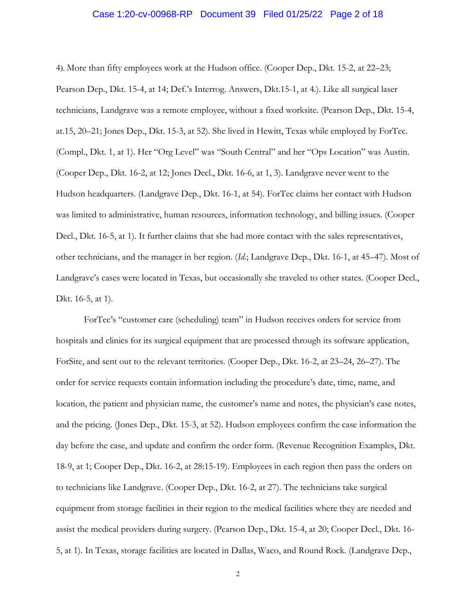### Case 1:20-cv-00968-RP Document 39 Filed 01/25/22 Page 2 of 18

4). More than fifty employees work at the Hudson office. (Cooper Dep., Dkt. 15-2, at 22–23; Pearson Dep., Dkt. 15-4, at 14; Def.'s Interrog. Answers, Dkt.15-1, at 4.). Like all surgical laser technicians, Landgrave was a remote employee, without a fixed worksite. (Pearson Dep., Dkt. 15-4, at.15, 20–21; Jones Dep., Dkt. 15-3, at 52). She lived in Hewitt, Texas while employed by ForTec. (Compl., Dkt. 1, at 1). Her "Org Level" was "South Central" and her "Ops Location" was Austin. (Cooper Dep., Dkt. 16-2, at 12; Jones Decl., Dkt. 16-6, at 1, 3). Landgrave never went to the Hudson headquarters. (Landgrave Dep., Dkt. 16-1, at 54). ForTec claims her contact with Hudson was limited to administrative, human resources, information technology, and billing issues. (Cooper Decl., Dkt. 16-5, at 1). It further claims that she had more contact with the sales representatives, other technicians, and the manager in her region. (*Id.*; Landgrave Dep., Dkt. 16-1, at 45–47). Most of Landgrave's cases were located in Texas, but occasionally she traveled to other states. (Cooper Decl., Dkt. 16-5, at 1).

ForTec's "customer care (scheduling) team" in Hudson receives orders for service from hospitals and clinics for its surgical equipment that are processed through its software application, ForSite, and sent out to the relevant territories. (Cooper Dep., Dkt. 16-2, at 23–24, 26–27). The order for service requests contain information including the procedure's date, time, name, and location, the patient and physician name, the customer's name and notes, the physician's case notes, and the pricing. (Jones Dep., Dkt. 15-3, at 52). Hudson employees confirm the case information the day before the case, and update and confirm the order form. (Revenue Recognition Examples, Dkt. 18-9, at 1; Cooper Dep., Dkt. 16-2, at 28:15-19). Employees in each region then pass the orders on to technicians like Landgrave. (Cooper Dep., Dkt. 16-2, at 27). The technicians take surgical equipment from storage facilities in their region to the medical facilities where they are needed and assist the medical providers during surgery. (Pearson Dep., Dkt. 15-4, at 20; Cooper Decl., Dkt. 16- 5, at 1). In Texas, storage facilities are located in Dallas, Waco, and Round Rock. (Landgrave Dep.,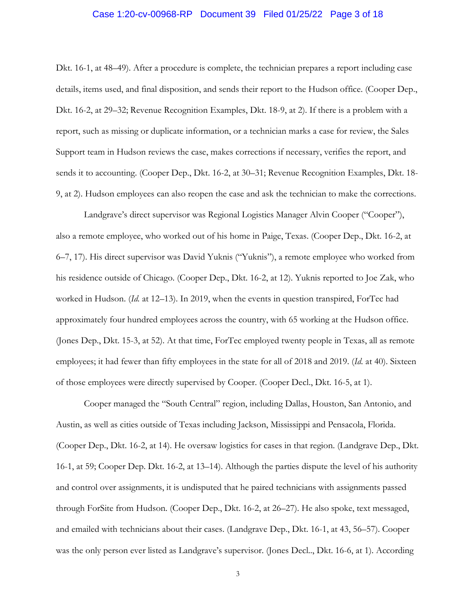## Case 1:20-cv-00968-RP Document 39 Filed 01/25/22 Page 3 of 18

Dkt. 16-1, at 48–49). After a procedure is complete, the technician prepares a report including case details, items used, and final disposition, and sends their report to the Hudson office. (Cooper Dep., Dkt. 16-2, at 29–32; Revenue Recognition Examples, Dkt. 18-9, at 2). If there is a problem with a report, such as missing or duplicate information, or a technician marks a case for review, the Sales Support team in Hudson reviews the case, makes corrections if necessary, verifies the report, and sends it to accounting. (Cooper Dep., Dkt. 16-2, at 30–31; Revenue Recognition Examples, Dkt. 18- 9, at 2). Hudson employees can also reopen the case and ask the technician to make the corrections.

Landgrave's direct supervisor was Regional Logistics Manager Alvin Cooper ("Cooper"), also a remote employee, who worked out of his home in Paige, Texas. (Cooper Dep., Dkt. 16-2, at 6–7, 17). His direct supervisor was David Yuknis ("Yuknis"), a remote employee who worked from his residence outside of Chicago. (Cooper Dep., Dkt. 16-2, at 12). Yuknis reported to Joe Zak, who worked in Hudson. (*Id.* at 12–13). In 2019, when the events in question transpired, ForTec had approximately four hundred employees across the country, with 65 working at the Hudson office. (Jones Dep., Dkt. 15-3, at 52). At that time, ForTec employed twenty people in Texas, all as remote employees; it had fewer than fifty employees in the state for all of 2018 and 2019. (*Id.* at 40). Sixteen of those employees were directly supervised by Cooper. (Cooper Decl., Dkt. 16-5, at 1).

Cooper managed the "South Central" region, including Dallas, Houston, San Antonio, and Austin, as well as cities outside of Texas including Jackson, Mississippi and Pensacola, Florida. (Cooper Dep., Dkt. 16-2, at 14). He oversaw logistics for cases in that region. (Landgrave Dep., Dkt. 16-1, at 59; Cooper Dep. Dkt. 16-2, at 13–14). Although the parties dispute the level of his authority and control over assignments, it is undisputed that he paired technicians with assignments passed through ForSite from Hudson. (Cooper Dep., Dkt. 16-2, at 26–27). He also spoke, text messaged, and emailed with technicians about their cases. (Landgrave Dep., Dkt. 16-1, at 43, 56–57). Cooper was the only person ever listed as Landgrave's supervisor. (Jones Decl.., Dkt. 16-6, at 1). According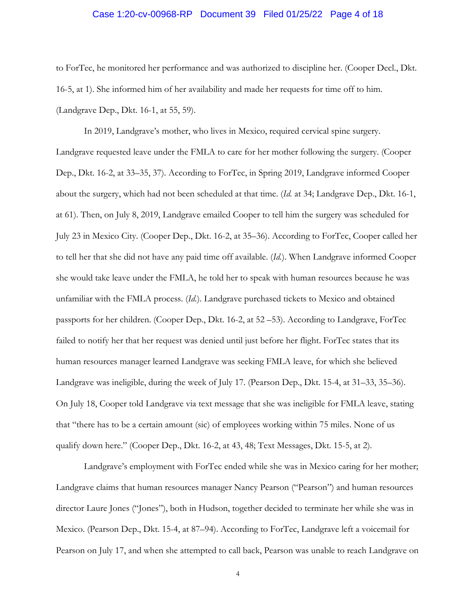## Case 1:20-cv-00968-RP Document 39 Filed 01/25/22 Page 4 of 18

to ForTec, he monitored her performance and was authorized to discipline her. (Cooper Decl., Dkt. 16-5, at 1). She informed him of her availability and made her requests for time off to him. (Landgrave Dep., Dkt. 16-1, at 55, 59).

In 2019, Landgrave's mother, who lives in Mexico, required cervical spine surgery. Landgrave requested leave under the FMLA to care for her mother following the surgery. (Cooper Dep., Dkt. 16-2, at 33–35, 37). According to ForTec, in Spring 2019, Landgrave informed Cooper about the surgery, which had not been scheduled at that time. (*Id.* at 34; Landgrave Dep., Dkt. 16-1, at 61). Then, on July 8, 2019, Landgrave emailed Cooper to tell him the surgery was scheduled for July 23 in Mexico City. (Cooper Dep., Dkt. 16-2, at 35–36). According to ForTec, Cooper called her to tell her that she did not have any paid time off available. (*Id.*). When Landgrave informed Cooper she would take leave under the FMLA, he told her to speak with human resources because he was unfamiliar with the FMLA process. (*Id.*). Landgrave purchased tickets to Mexico and obtained passports for her children. (Cooper Dep., Dkt. 16-2, at 52 –53). According to Landgrave, ForTec failed to notify her that her request was denied until just before her flight. ForTec states that its human resources manager learned Landgrave was seeking FMLA leave, for which she believed Landgrave was ineligible, during the week of July 17. (Pearson Dep., Dkt. 15-4, at 31–33, 35–36). On July 18, Cooper told Landgrave via text message that she was ineligible for FMLA leave, stating that "there has to be a certain amount (sic) of employees working within 75 miles. None of us qualify down here." (Cooper Dep., Dkt. 16-2, at 43, 48; Text Messages, Dkt. 15-5, at 2).

Landgrave's employment with ForTec ended while she was in Mexico caring for her mother; Landgrave claims that human resources manager Nancy Pearson ("Pearson") and human resources director Laure Jones ("Jones"), both in Hudson, together decided to terminate her while she was in Mexico. (Pearson Dep., Dkt. 15-4, at 87–94). According to ForTec, Landgrave left a voicemail for Pearson on July 17, and when she attempted to call back, Pearson was unable to reach Landgrave on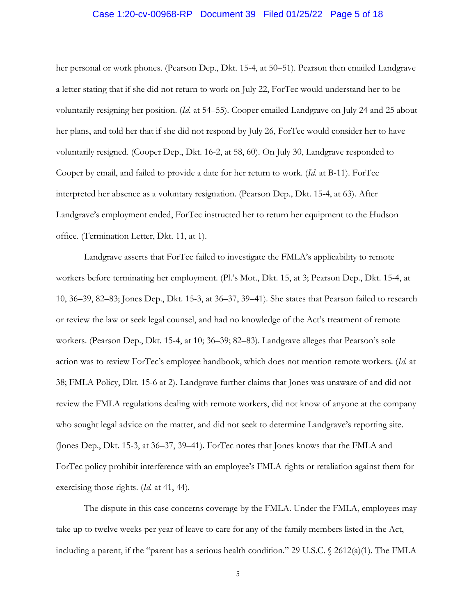### Case 1:20-cv-00968-RP Document 39 Filed 01/25/22 Page 5 of 18

her personal or work phones. (Pearson Dep., Dkt. 15-4, at 50–51). Pearson then emailed Landgrave a letter stating that if she did not return to work on July 22, ForTec would understand her to be voluntarily resigning her position. (*Id.* at 54–55). Cooper emailed Landgrave on July 24 and 25 about her plans, and told her that if she did not respond by July 26, ForTec would consider her to have voluntarily resigned. (Cooper Dep., Dkt. 16-2, at 58, 60). On July 30, Landgrave responded to Cooper by email, and failed to provide a date for her return to work. (*Id.* at B-11). ForTec interpreted her absence as a voluntary resignation. (Pearson Dep., Dkt. 15-4, at 63). After Landgrave's employment ended, ForTec instructed her to return her equipment to the Hudson office. (Termination Letter, Dkt. 11, at 1).

Landgrave asserts that ForTec failed to investigate the FMLA's applicability to remote workers before terminating her employment. (Pl.'s Mot., Dkt. 15, at 3; Pearson Dep., Dkt. 15-4, at 10, 36–39, 82–83; Jones Dep., Dkt. 15-3, at 36–37, 39–41). She states that Pearson failed to research or review the law or seek legal counsel, and had no knowledge of the Act's treatment of remote workers. (Pearson Dep., Dkt. 15-4, at 10; 36–39; 82–83). Landgrave alleges that Pearson's sole action was to review ForTec's employee handbook, which does not mention remote workers. (*Id.* at 38; FMLA Policy, Dkt. 15-6 at 2). Landgrave further claims that Jones was unaware of and did not review the FMLA regulations dealing with remote workers, did not know of anyone at the company who sought legal advice on the matter, and did not seek to determine Landgrave's reporting site. (Jones Dep., Dkt. 15-3, at 36–37, 39–41). ForTec notes that Jones knows that the FMLA and ForTec policy prohibit interference with an employee's FMLA rights or retaliation against them for exercising those rights. (*Id.* at 41, 44).

The dispute in this case concerns coverage by the FMLA. Under the FMLA, employees may take up to twelve weeks per year of leave to care for any of the family members listed in the Act, including a parent, if the "parent has a serious health condition." 29 U.S.C. § 2612(a)(1). The FMLA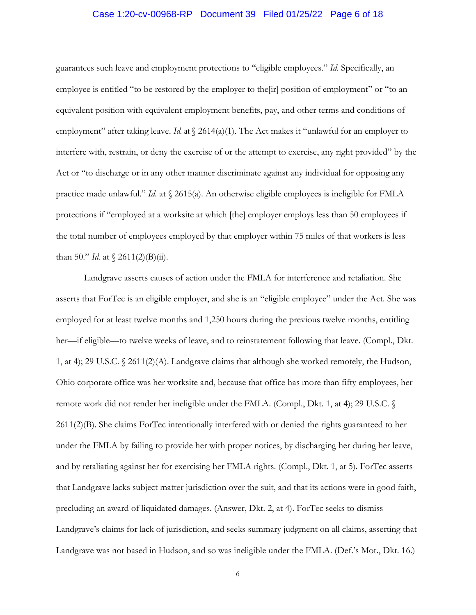# Case 1:20-cv-00968-RP Document 39 Filed 01/25/22 Page 6 of 18

guarantees such leave and employment protections to "eligible employees." *Id.* Specifically, an employee is entitled "to be restored by the employer to the[ir] position of employment" or "to an equivalent position with equivalent employment benefits, pay, and other terms and conditions of employment" after taking leave. *Id.* at  $\sqrt{2614(a)(1)}$ . The Act makes it "unlawful for an employer to interfere with, restrain, or deny the exercise of or the attempt to exercise, any right provided" by the Act or "to discharge or in any other manner discriminate against any individual for opposing any practice made unlawful." *Id.* at § 2615(a). An otherwise eligible employees is ineligible for FMLA protections if "employed at a worksite at which [the] employer employs less than 50 employees if the total number of employees employed by that employer within 75 miles of that workers is less than 50." *Id.* at  $\{ 2611(2)(B)(ii) \}$ .

Landgrave asserts causes of action under the FMLA for interference and retaliation. She asserts that ForTec is an eligible employer, and she is an "eligible employee" under the Act. She was employed for at least twelve months and 1,250 hours during the previous twelve months, entitling her—if eligible—to twelve weeks of leave, and to reinstatement following that leave. (Compl., Dkt. 1, at 4); 29 U.S.C. § 2611(2)(A). Landgrave claims that although she worked remotely, the Hudson, Ohio corporate office was her worksite and, because that office has more than fifty employees, her remote work did not render her ineligible under the FMLA. (Compl., Dkt. 1, at 4); 29 U.S.C. § 2611(2)(B). She claims ForTec intentionally interfered with or denied the rights guaranteed to her under the FMLA by failing to provide her with proper notices, by discharging her during her leave, and by retaliating against her for exercising her FMLA rights. (Compl., Dkt. 1, at 5). ForTec asserts that Landgrave lacks subject matter jurisdiction over the suit, and that its actions were in good faith, precluding an award of liquidated damages. (Answer, Dkt. 2, at 4). ForTec seeks to dismiss Landgrave's claims for lack of jurisdiction, and seeks summary judgment on all claims, asserting that Landgrave was not based in Hudson, and so was ineligible under the FMLA. (Def.'s Mot., Dkt. 16.)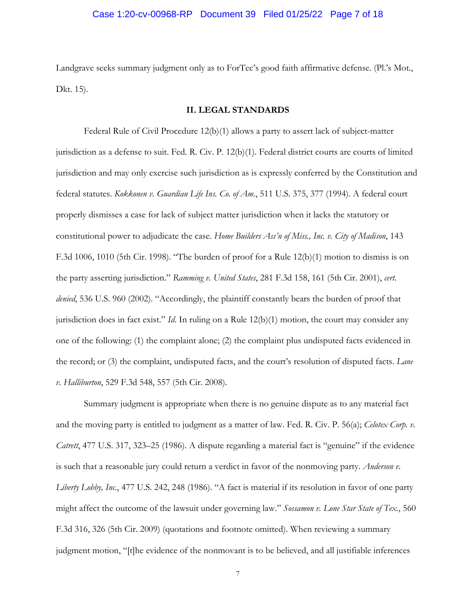### Case 1:20-cv-00968-RP Document 39 Filed 01/25/22 Page 7 of 18

Landgrave seeks summary judgment only as to ForTec's good faith affirmative defense. (Pl.'s Mot., Dkt. 15).

### **II. LEGAL STANDARDS**

Federal Rule of Civil Procedure 12(b)(1) allows a party to assert lack of subject-matter jurisdiction as a defense to suit. Fed. R. Civ. P. 12(b)(1). Federal district courts are courts of limited jurisdiction and may only exercise such jurisdiction as is expressly conferred by the Constitution and federal statutes. *Kokkonen v. Guardian Life Ins. Co. of Am.*, 511 U.S. 375, 377 (1994). A federal court properly dismisses a case for lack of subject matter jurisdiction when it lacks the statutory or constitutional power to adjudicate the case. *Home Builders Ass'n of Miss., Inc. v. City of Madison*, 143 F.3d 1006, 1010 (5th Cir. 1998). "The burden of proof for a Rule 12(b)(1) motion to dismiss is on the party asserting jurisdiction." *Ramming v. United States*, 281 F.3d 158, 161 (5th Cir. 2001), *cert. denied*, 536 U.S. 960 (2002). "Accordingly, the plaintiff constantly bears the burden of proof that jurisdiction does in fact exist." *Id*. In ruling on a Rule 12(b)(1) motion, the court may consider any one of the following: (1) the complaint alone; (2) the complaint plus undisputed facts evidenced in the record; or (3) the complaint, undisputed facts, and the court's resolution of disputed facts. *Lane v. Halliburton*, 529 F.3d 548, 557 (5th Cir. 2008).

Summary judgment is appropriate when there is no genuine dispute as to any material fact and the moving party is entitled to judgment as a matter of law. Fed. R. Civ. P. 56(a); *Celotex Corp. v. Catrett*, 477 U.S. 317, 323–25 (1986). A dispute regarding a material fact is "genuine" if the evidence is such that a reasonable jury could return a verdict in favor of the nonmoving party. *Anderson v. Liberty Lobby, Inc.*, 477 U.S. 242, 248 (1986). "A fact is material if its resolution in favor of one party might affect the outcome of the lawsuit under governing law." *Sossamon v. Lone Star State of Tex.*, 560 F.3d 316, 326 (5th Cir. 2009) (quotations and footnote omitted). When reviewing a summary judgment motion, "[t]he evidence of the nonmovant is to be believed, and all justifiable inferences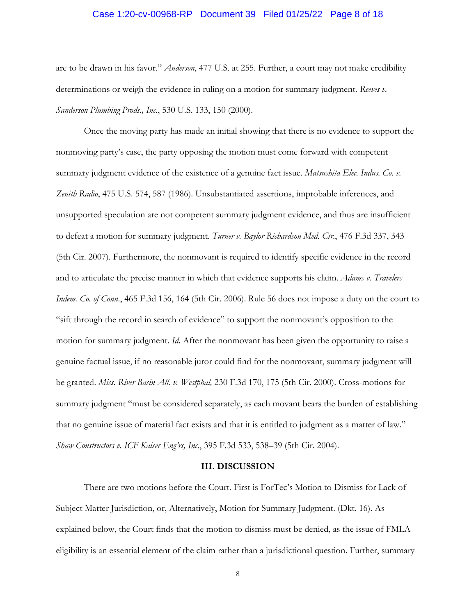### Case 1:20-cv-00968-RP Document 39 Filed 01/25/22 Page 8 of 18

are to be drawn in his favor." *Anderson*, 477 U.S. at 255. Further, a court may not make credibility determinations or weigh the evidence in ruling on a motion for summary judgment. *Reeves v. Sanderson Plumbing Prods., Inc.*, 530 U.S. 133, 150 (2000).

Once the moving party has made an initial showing that there is no evidence to support the nonmoving party's case, the party opposing the motion must come forward with competent summary judgment evidence of the existence of a genuine fact issue. *Matsushita Elec. Indus. Co. v. Zenith Radio*, 475 U.S. 574, 587 (1986). Unsubstantiated assertions, improbable inferences, and unsupported speculation are not competent summary judgment evidence, and thus are insufficient to defeat a motion for summary judgment. *Turner v. Baylor Richardson Med. Ctr.*, 476 F.3d 337, 343 (5th Cir. 2007). Furthermore, the nonmovant is required to identify specific evidence in the record and to articulate the precise manner in which that evidence supports his claim. *Adams v. Travelers Indem. Co. of Conn*., 465 F.3d 156, 164 (5th Cir. 2006). Rule 56 does not impose a duty on the court to "sift through the record in search of evidence" to support the nonmovant's opposition to the motion for summary judgment. *Id*. After the nonmovant has been given the opportunity to raise a genuine factual issue, if no reasonable juror could find for the nonmovant, summary judgment will be granted. *Miss. River Basin All. v. Westphal,* 230 F.3d 170, 175 (5th Cir. 2000). Cross-motions for summary judgment "must be considered separately, as each movant bears the burden of establishing that no genuine issue of material fact exists and that it is entitled to judgment as a matter of law." *Shaw Constructors v. ICF Kaiser Eng'rs, Inc.*, 395 F.3d 533, 538–39 (5th Cir. 2004).

#### **III. DISCUSSION**

There are two motions before the Court. First is ForTec's Motion to Dismiss for Lack of Subject Matter Jurisdiction, or, Alternatively, Motion for Summary Judgment. (Dkt. 16). As explained below, the Court finds that the motion to dismiss must be denied, as the issue of FMLA eligibility is an essential element of the claim rather than a jurisdictional question. Further, summary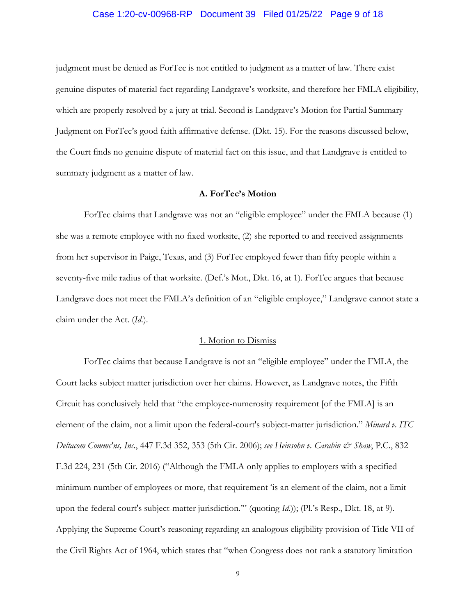# Case 1:20-cv-00968-RP Document 39 Filed 01/25/22 Page 9 of 18

judgment must be denied as ForTec is not entitled to judgment as a matter of law. There exist genuine disputes of material fact regarding Landgrave's worksite, and therefore her FMLA eligibility, which are properly resolved by a jury at trial. Second is Landgrave's Motion for Partial Summary Judgment on ForTec's good faith affirmative defense. (Dkt. 15). For the reasons discussed below, the Court finds no genuine dispute of material fact on this issue, and that Landgrave is entitled to summary judgment as a matter of law.

## **A. ForTec's Motion**

ForTec claims that Landgrave was not an "eligible employee" under the FMLA because (1) she was a remote employee with no fixed worksite, (2) she reported to and received assignments from her supervisor in Paige, Texas, and (3) ForTec employed fewer than fifty people within a seventy-five mile radius of that worksite. (Def.'s Mot., Dkt. 16, at 1). ForTec argues that because Landgrave does not meet the FMLA's definition of an "eligible employee," Landgrave cannot state a claim under the Act. (*Id.*).

### 1. Motion to Dismiss

ForTec claims that because Landgrave is not an "eligible employee" under the FMLA, the Court lacks subject matter jurisdiction over her claims. However, as Landgrave notes, the Fifth Circuit has conclusively held that "the employee-numerosity requirement [of the FMLA] is an element of the claim, not a limit upon the federal-court's subject-matter jurisdiction." *Minard v. ITC Deltacom Commc'ns, Inc*., 447 F.3d 352, 353 (5th Cir. 2006); *see Heinsohn v. Carabin & Shaw*, P.C., 832 F.3d 224, 231 (5th Cir. 2016) ("Although the FMLA only applies to employers with a specified minimum number of employees or more, that requirement 'is an element of the claim, not a limit upon the federal court's subject-matter jurisdiction.'" (quoting *Id.*)); (Pl.'s Resp., Dkt. 18, at 9). Applying the Supreme Court's reasoning regarding an analogous eligibility provision of Title VII of the Civil Rights Act of 1964, which states that "when Congress does not rank a statutory limitation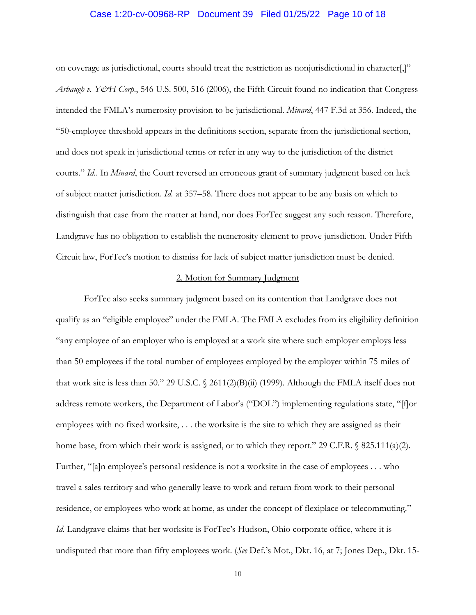### Case 1:20-cv-00968-RP Document 39 Filed 01/25/22 Page 10 of 18

on coverage as jurisdictional, courts should treat the restriction as nonjurisdictional in character[,]" *Arbaugh v. Y&H Corp*., 546 U.S. 500, 516 (2006), the Fifth Circuit found no indication that Congress intended the FMLA's numerosity provision to be jurisdictional. *Minard*, 447 F.3d at 356. Indeed, the "50-employee threshold appears in the definitions section, separate from the jurisdictional section, and does not speak in jurisdictional terms or refer in any way to the jurisdiction of the district courts." *Id.*. In *Minard*, the Court reversed an erroneous grant of summary judgment based on lack of subject matter jurisdiction. *Id.* at 357–58. There does not appear to be any basis on which to distinguish that case from the matter at hand, nor does ForTec suggest any such reason. Therefore, Landgrave has no obligation to establish the numerosity element to prove jurisdiction. Under Fifth Circuit law, ForTec's motion to dismiss for lack of subject matter jurisdiction must be denied.

### 2. Motion for Summary Judgment

ForTec also seeks summary judgment based on its contention that Landgrave does not qualify as an "eligible employee" under the FMLA. The FMLA excludes from its eligibility definition "any employee of an employer who is employed at a work site where such employer employs less than 50 employees if the total number of employees employed by the employer within 75 miles of that work site is less than 50." 29 U.S.C.  $\frac{2611(2)(B)(ii)}{1999}$ . Although the FMLA itself does not address remote workers, the Department of Labor's ("DOL") implementing regulations state, "[f]or employees with no fixed worksite, . . . the worksite is the site to which they are assigned as their home base, from which their work is assigned, or to which they report." 29 C.F.R.  $\&$  825.111(a)(2). Further, "[a]n employee's personal residence is not a worksite in the case of employees . . . who travel a sales territory and who generally leave to work and return from work to their personal residence, or employees who work at home, as under the concept of flexiplace or telecommuting." *Id.* Landgrave claims that her worksite is ForTec's Hudson, Ohio corporate office, where it is undisputed that more than fifty employees work. (*See* Def.'s Mot., Dkt. 16, at 7; Jones Dep., Dkt. 15-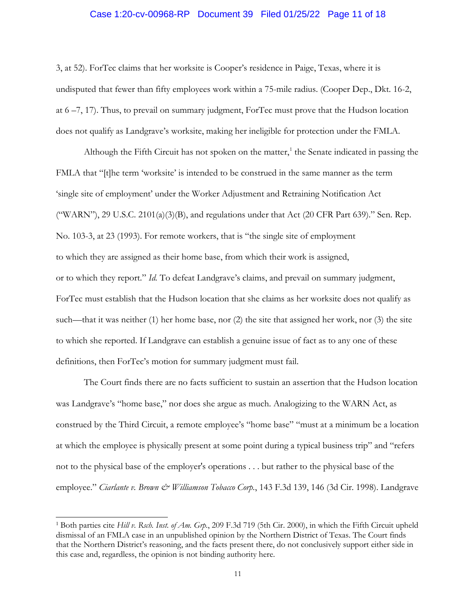# Case 1:20-cv-00968-RP Document 39 Filed 01/25/22 Page 11 of 18

3, at 52). ForTec claims that her worksite is Cooper's residence in Paige, Texas, where it is undisputed that fewer than fifty employees work within a 75-mile radius. (Cooper Dep., Dkt. 16-2, at 6 –7, 17). Thus, to prevail on summary judgment, ForTec must prove that the Hudson location does not qualify as Landgrave's worksite, making her ineligible for protection under the FMLA.

Although the Fifth Circuit has not spoken on the matter,<sup>1</sup> the Senate indicated in passing the FMLA that "[t]he term 'worksite' is intended to be construed in the same manner as the term 'single site of employment' under the Worker Adjustment and Retraining Notification Act ("WARN"), 29 U.S.C. 2101(a)(3)(B), and regulations under that Act (20 CFR Part 639)." Sen. Rep. No. 103-3, at 23 (1993). For remote workers, that is "the single site of employment to which they are assigned as their home base, from which their work is assigned, or to which they report." *Id.* To defeat Landgrave's claims, and prevail on summary judgment, ForTec must establish that the Hudson location that she claims as her worksite does not qualify as such—that it was neither (1) her home base, nor (2) the site that assigned her work, nor (3) the site to which she reported. If Landgrave can establish a genuine issue of fact as to any one of these definitions, then ForTec's motion for summary judgment must fail.

 The Court finds there are no facts sufficient to sustain an assertion that the Hudson location was Landgrave's "home base," nor does she argue as much. Analogizing to the WARN Act, as construed by the Third Circuit, a remote employee's "home base" "must at a minimum be a location at which the employee is physically present at some point during a typical business trip" and "refers not to the physical base of the employer's operations . . . but rather to the physical base of the employee." *Ciarlante v. Brown & Williamson Tobacco Corp.*, 143 F.3d 139, 146 (3d Cir. 1998). Landgrave

<sup>&</sup>lt;sup>1</sup> Both parties cite *Hill v. Rsch. Inst. of Am. Grp.*, 209 F.3d 719 (5th Cir. 2000), in which the Fifth Circuit upheld dismissal of an FMLA case in an unpublished opinion by the Northern District of Texas. The Court finds that the Northern District's reasoning, and the facts present there, do not conclusively support either side in this case and, regardless, the opinion is not binding authority here.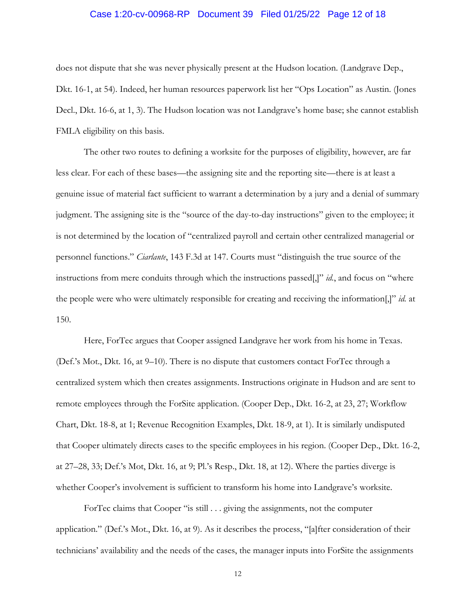# Case 1:20-cv-00968-RP Document 39 Filed 01/25/22 Page 12 of 18

does not dispute that she was never physically present at the Hudson location. (Landgrave Dep., Dkt. 16-1, at 54). Indeed, her human resources paperwork list her "Ops Location" as Austin. (Jones Decl., Dkt. 16-6, at 1, 3). The Hudson location was not Landgrave's home base; she cannot establish FMLA eligibility on this basis.

 The other two routes to defining a worksite for the purposes of eligibility, however, are far less clear. For each of these bases—the assigning site and the reporting site—there is at least a genuine issue of material fact sufficient to warrant a determination by a jury and a denial of summary judgment. The assigning site is the "source of the day-to-day instructions" given to the employee; it is not determined by the location of "centralized payroll and certain other centralized managerial or personnel functions." *Ciarlante*, 143 F.3d at 147. Courts must "distinguish the true source of the instructions from mere conduits through which the instructions passed[,]" *id.*, and focus on "where the people were who were ultimately responsible for creating and receiving the information[,]" *id.* at 150.

Here, ForTec argues that Cooper assigned Landgrave her work from his home in Texas. (Def.'s Mot., Dkt. 16, at 9–10). There is no dispute that customers contact ForTec through a centralized system which then creates assignments. Instructions originate in Hudson and are sent to remote employees through the ForSite application. (Cooper Dep., Dkt. 16-2, at 23, 27; Workflow Chart, Dkt. 18-8, at 1; Revenue Recognition Examples, Dkt. 18-9, at 1). It is similarly undisputed that Cooper ultimately directs cases to the specific employees in his region. (Cooper Dep., Dkt. 16-2, at 27–28, 33; Def.'s Mot, Dkt. 16, at 9; Pl.'s Resp., Dkt. 18, at 12). Where the parties diverge is whether Cooper's involvement is sufficient to transform his home into Landgrave's worksite.

ForTec claims that Cooper "is still . . . giving the assignments, not the computer application." (Def.'s Mot., Dkt. 16, at 9). As it describes the process, "[a]fter consideration of their technicians' availability and the needs of the cases, the manager inputs into ForSite the assignments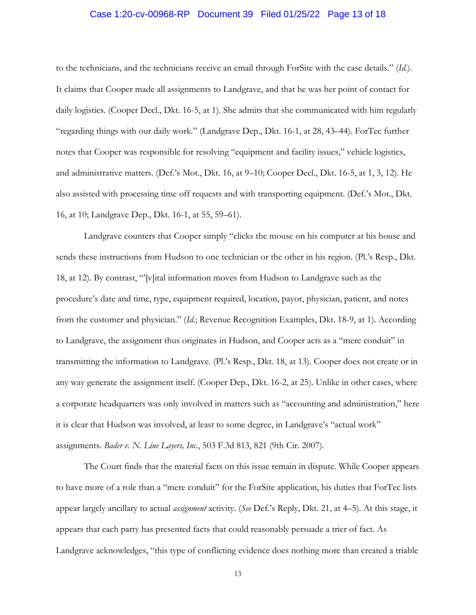# Case 1:20-cv-00968-RP Document 39 Filed 01/25/22 Page 13 of 18

to the technicians, and the technicians receive an email through ForSite with the case details." (*Id.*). It claims that Cooper made all assignments to Landgrave, and that he was her point of contact for daily logistics. (Cooper Decl., Dkt. 16-5, at 1). She admits that she communicated with him regularly "regarding things with our daily work." (Landgrave Dep., Dkt. 16-1, at 28, 43–44). ForTec further notes that Cooper was responsible for resolving "equipment and facility issues," vehicle logistics, and administrative matters. (Def.'s Mot., Dkt. 16, at 9–10; Cooper Decl., Dkt. 16-5, at 1, 3, 12). He also assisted with processing time off requests and with transporting equipment. (Def.'s Mot., Dkt. 16, at 10; Landgrave Dep., Dkt. 16-1, at 55, 59–61).

Landgrave counters that Cooper simply "clicks the mouse on his computer at his house and sends these instructions from Hudson to one technician or the other in his region. (Pl.'s Resp., Dkt. 18, at 12). By contrast, "'[v]ital information moves from Hudson to Landgrave such as the procedure's date and time, type, equipment required, location, payor, physician, patient, and notes from the customer and physician." (*Id.*; Revenue Recognition Examples, Dkt. 18-9, at 1). According to Landgrave, the assignment thus originates in Hudson, and Cooper acts as a "mere conduit" in transmitting the information to Landgrave. (Pl.'s Resp., Dkt. 18, at 13). Cooper does not create or in any way generate the assignment itself. (Cooper Dep., Dkt. 16-2, at 25). Unlike in other cases, where a corporate headquarters was only involved in matters such as "accounting and administration," here it is clear that Hudson was involved, at least to some degree, in Landgrave's "actual work" assignments. *Bader v. N. Line Layers, Inc.*, 503 F.3d 813, 821 (9th Cir. 2007).

 The Court finds that the material facts on this issue remain in dispute. While Cooper appears to have more of a role than a "mere conduit" for the ForSite application, his duties that ForTec lists appear largely ancillary to actual *assignment* activity. (*See* Def.'s Reply, Dkt. 21, at 4–5). At this stage, it appears that each party has presented facts that could reasonably persuade a trier of fact. As Landgrave acknowledges, "this type of conflicting evidence does nothing more than created a triable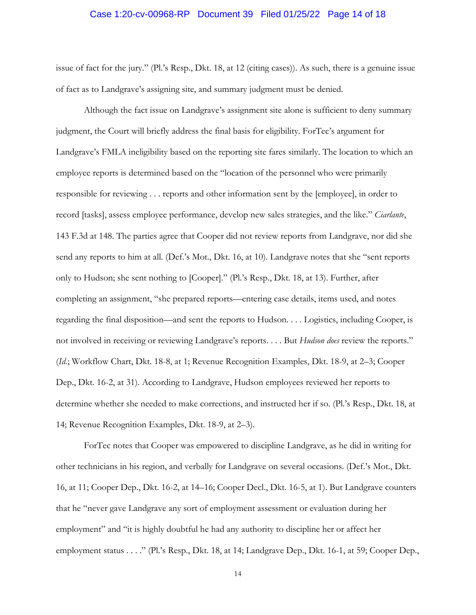## Case 1:20-cv-00968-RP Document 39 Filed 01/25/22 Page 14 of 18

issue of fact for the jury." (Pl.'s Resp., Dkt. 18, at 12 (citing cases)). As such, there is a genuine issue of fact as to Landgrave's assigning site, and summary judgment must be denied.

 Although the fact issue on Landgrave's assignment site alone is sufficient to deny summary judgment, the Court will briefly address the final basis for eligibility. ForTec's argument for Landgrave's FMLA ineligibility based on the reporting site fares similarly. The location to which an employee reports is determined based on the "location of the personnel who were primarily responsible for reviewing . . . reports and other information sent by the [employee], in order to record [tasks], assess employee performance, develop new sales strategies, and the like." *Ciarlante*, 143 F.3d at 148. The parties agree that Cooper did not review reports from Landgrave, nor did she send any reports to him at all. (Def.'s Mot., Dkt. 16, at 10). Landgrave notes that she "sent reports only to Hudson; she sent nothing to [Cooper]." (Pl.'s Resp., Dkt. 18, at 13). Further, after completing an assignment, "she prepared reports—entering case details, items used, and notes regarding the final disposition—and sent the reports to Hudson. . . . Logistics, including Cooper, is not involved in receiving or reviewing Landgrave's reports. . . . But *Hudson does* review the reports." (*Id.*; Workflow Chart, Dkt. 18-8, at 1; Revenue Recognition Examples, Dkt. 18-9, at 2–3; Cooper Dep., Dkt. 16-2, at 31). According to Landgrave, Hudson employees reviewed her reports to determine whether she needed to make corrections, and instructed her if so. (Pl.'s Resp., Dkt. 18, at 14; Revenue Recognition Examples, Dkt. 18-9, at 2–3).

 ForTec notes that Cooper was empowered to discipline Landgrave, as he did in writing for other technicians in his region, and verbally for Landgrave on several occasions. (Def.'s Mot., Dkt. 16, at 11; Cooper Dep., Dkt. 16-2, at 14–16; Cooper Decl., Dkt. 16-5, at 1). But Landgrave counters that he "never gave Landgrave any sort of employment assessment or evaluation during her employment" and "it is highly doubtful he had any authority to discipline her or affect her employment status . . . ." (Pl.'s Resp., Dkt. 18, at 14; Landgrave Dep., Dkt. 16-1, at 59; Cooper Dep.,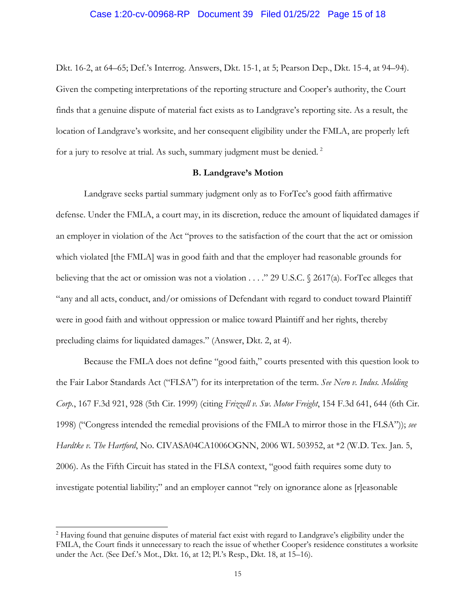Dkt. 16-2, at 64–65; Def.'s Interrog. Answers, Dkt. 15-1, at 5; Pearson Dep., Dkt. 15-4, at 94–94). Given the competing interpretations of the reporting structure and Cooper's authority, the Court finds that a genuine dispute of material fact exists as to Landgrave's reporting site. As a result, the location of Landgrave's worksite, and her consequent eligibility under the FMLA, are properly left for a jury to resolve at trial. As such, summary judgment must be denied.<sup>2</sup>

### **B. Landgrave's Motion**

Landgrave seeks partial summary judgment only as to ForTec's good faith affirmative defense. Under the FMLA, a court may, in its discretion, reduce the amount of liquidated damages if an employer in violation of the Act "proves to the satisfaction of the court that the act or omission which violated [the FMLA] was in good faith and that the employer had reasonable grounds for believing that the act or omission was not a violation . . . ." 29 U.S.C. § 2617(a). ForTec alleges that "any and all acts, conduct, and/or omissions of Defendant with regard to conduct toward Plaintiff were in good faith and without oppression or malice toward Plaintiff and her rights, thereby precluding claims for liquidated damages." (Answer, Dkt. 2, at 4).

Because the FMLA does not define "good faith," courts presented with this question look to the Fair Labor Standards Act ("FLSA") for its interpretation of the term. *See Nero v. Indus. Molding Corp.*, 167 F.3d 921, 928 (5th Cir. 1999) (citing *Frizzell v. Sw. Motor Freight*, 154 F.3d 641, 644 (6th Cir. 1998) ("Congress intended the remedial provisions of the FMLA to mirror those in the FLSA")); *see Hardtke v. The Hartford*, No. CIVASA04CA1006OGNN, 2006 WL 503952, at \*2 (W.D. Tex. Jan. 5, 2006). As the Fifth Circuit has stated in the FLSA context, "good faith requires some duty to investigate potential liability;" and an employer cannot "rely on ignorance alone as [r]easonable

<sup>2</sup> Having found that genuine disputes of material fact exist with regard to Landgrave's eligibility under the FMLA, the Court finds it unnecessary to reach the issue of whether Cooper's residence constitutes a worksite under the Act. (See Def.'s Mot., Dkt. 16, at 12; Pl.'s Resp., Dkt. 18, at 15–16).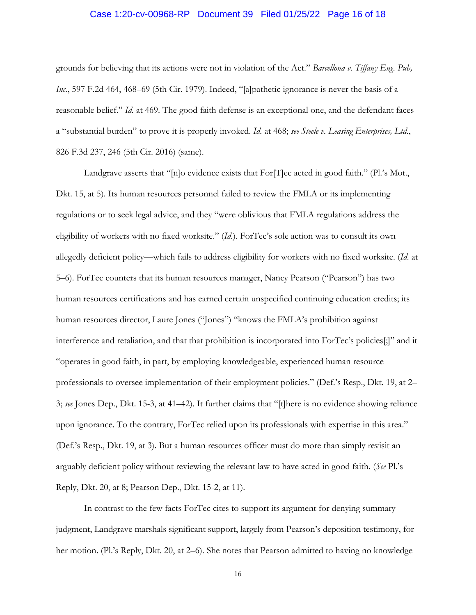# Case 1:20-cv-00968-RP Document 39 Filed 01/25/22 Page 16 of 18

grounds for believing that its actions were not in violation of the Act." *Barcellona v. Tiffany Eng. Pub, Inc.*, 597 F.2d 464, 468–69 (5th Cir. 1979). Indeed, "[a]pathetic ignorance is never the basis of a reasonable belief." *Id.* at 469. The good faith defense is an exceptional one, and the defendant faces a "substantial burden" to prove it is properly invoked. *Id.* at 468; *see Steele v. Leasing Enterprises, Ltd.*, 826 F.3d 237, 246 (5th Cir. 2016) (same).

Landgrave asserts that "[n]o evidence exists that For[T]ec acted in good faith." (Pl.'s Mot., Dkt. 15, at 5). Its human resources personnel failed to review the FMLA or its implementing regulations or to seek legal advice, and they "were oblivious that FMLA regulations address the eligibility of workers with no fixed worksite." (*Id.*). ForTec's sole action was to consult its own allegedly deficient policy—which fails to address eligibility for workers with no fixed worksite. (*Id.* at 5–6). ForTec counters that its human resources manager, Nancy Pearson ("Pearson") has two human resources certifications and has earned certain unspecified continuing education credits; its human resources director, Laure Jones ("Jones") "knows the FMLA's prohibition against interference and retaliation, and that that prohibition is incorporated into ForTec's policies[;]" and it "operates in good faith, in part, by employing knowledgeable, experienced human resource professionals to oversee implementation of their employment policies." (Def.'s Resp., Dkt. 19, at 2– 3; *see* Jones Dep., Dkt. 15-3, at 41–42). It further claims that "[t]here is no evidence showing reliance upon ignorance. To the contrary, ForTec relied upon its professionals with expertise in this area." (Def.'s Resp., Dkt. 19, at 3). But a human resources officer must do more than simply revisit an arguably deficient policy without reviewing the relevant law to have acted in good faith. (*See* Pl.'s Reply, Dkt. 20, at 8; Pearson Dep., Dkt. 15-2, at 11).

 In contrast to the few facts ForTec cites to support its argument for denying summary judgment, Landgrave marshals significant support, largely from Pearson's deposition testimony, for her motion. (Pl.'s Reply, Dkt. 20, at 2–6). She notes that Pearson admitted to having no knowledge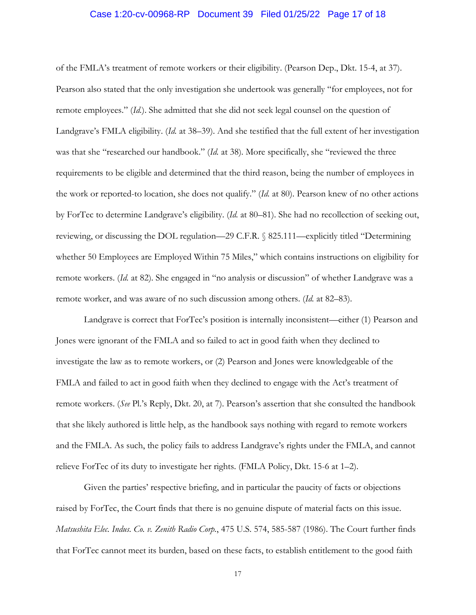# Case 1:20-cv-00968-RP Document 39 Filed 01/25/22 Page 17 of 18

of the FMLA's treatment of remote workers or their eligibility. (Pearson Dep., Dkt. 15-4, at 37). Pearson also stated that the only investigation she undertook was generally "for employees, not for remote employees." (*Id.*). She admitted that she did not seek legal counsel on the question of Landgrave's FMLA eligibility. (*Id.* at 38–39). And she testified that the full extent of her investigation was that she "researched our handbook." (*Id.* at 38). More specifically, she "reviewed the three requirements to be eligible and determined that the third reason, being the number of employees in the work or reported-to location, she does not qualify." (*Id.* at 80). Pearson knew of no other actions by ForTec to determine Landgrave's eligibility. (*Id.* at 80–81). She had no recollection of seeking out, reviewing, or discussing the DOL regulation—29 C.F.R. § 825.111—explicitly titled "Determining whether 50 Employees are Employed Within 75 Miles," which contains instructions on eligibility for remote workers. (*Id.* at 82). She engaged in "no analysis or discussion" of whether Landgrave was a remote worker, and was aware of no such discussion among others. (*Id.* at 82–83).

Landgrave is correct that ForTec's position is internally inconsistent—either (1) Pearson and Jones were ignorant of the FMLA and so failed to act in good faith when they declined to investigate the law as to remote workers, or (2) Pearson and Jones were knowledgeable of the FMLA and failed to act in good faith when they declined to engage with the Act's treatment of remote workers. (*See* Pl.'s Reply, Dkt. 20, at 7). Pearson's assertion that she consulted the handbook that she likely authored is little help, as the handbook says nothing with regard to remote workers and the FMLA. As such, the policy fails to address Landgrave's rights under the FMLA, and cannot relieve ForTec of its duty to investigate her rights. (FMLA Policy, Dkt. 15-6 at 1–2).

 Given the parties' respective briefing, and in particular the paucity of facts or objections raised by ForTec, the Court finds that there is no genuine dispute of material facts on this issue. *Matsushita Elec. Indus. Co. v. Zenith Radio Corp.*, 475 U.S. 574, 585-587 (1986). The Court further finds that ForTec cannot meet its burden, based on these facts, to establish entitlement to the good faith